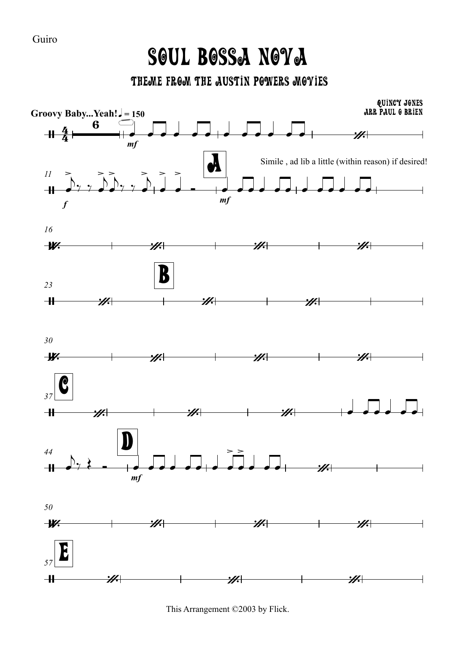## Soul Bossa Nova

THEME FROM THE AUSTIN POWERS MOYIES



This Arrangement ©2003 by Flick.